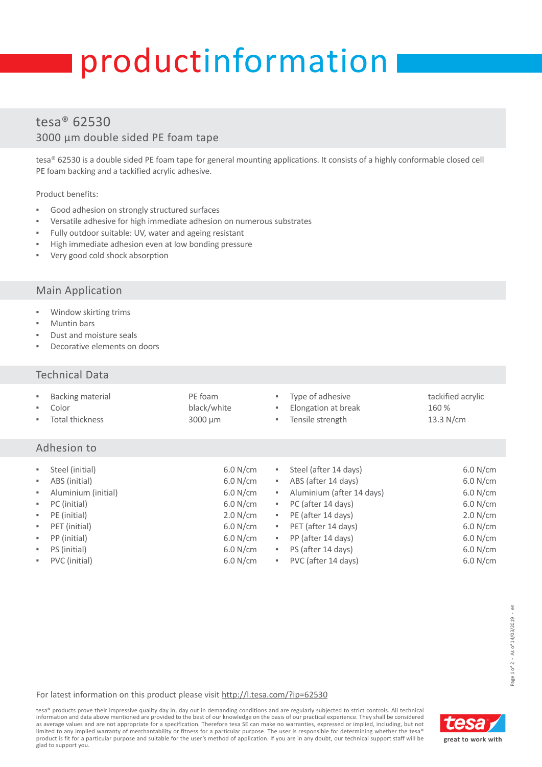# productinformation

# tesa® 62530 3000 µm double sided PE foam tape

tesa® 62530 is a double sided PE foam tape for general mounting applications. It consists of a highly conformable closed cell PE foam backing and a tackified acrylic adhesive.

Product benefits:

- Good adhesion on strongly structured surfaces
- Versatile adhesive for high immediate adhesion on numerous substrates
- Fully outdoor suitable: UV, water and ageing resistant
- High immediate adhesion even at low bonding pressure
- Very good cold shock absorption

#### Main Application

- Window skirting trims
- **Muntin bars**
- Dust and moisture seals
- Decorative elements on doors

#### Technical Data

| ٠<br>٠<br>٠                | Backing material<br>Color<br><b>Total thickness</b>                                                      | PE foam<br>black/white<br>3000 µm                                    | ٠.<br>٠                         | Type of adhesive<br>Elongation at break<br>Tensile strength                                                                                  | tackified acrylic<br>160 %<br>$13.3$ N/cm                            |  |  |  |  |
|----------------------------|----------------------------------------------------------------------------------------------------------|----------------------------------------------------------------------|---------------------------------|----------------------------------------------------------------------------------------------------------------------------------------------|----------------------------------------------------------------------|--|--|--|--|
| Adhesion to                |                                                                                                          |                                                                      |                                 |                                                                                                                                              |                                                                      |  |  |  |  |
| ٠<br>٠<br>×<br>٠<br>٠<br>٠ | Steel (initial)<br>ABS (initial)<br>Aluminium (initial)<br>PC (initial)<br>PE (initial)<br>PET (initial) | 6.0 N/cm<br>6.0 N/cm<br>6.0 N/cm<br>6.0 N/cm<br>2.0 N/cm<br>6.0 N/cm | ٠,<br>٠,<br>٠,<br>٠,<br>٠,<br>٠ | Steel (after 14 days)<br>ABS (after 14 days)<br>Aluminium (after 14 days)<br>PC (after 14 days)<br>PE (after 14 days)<br>PET (after 14 days) | 6.0 N/cm<br>6.0 N/cm<br>6.0 N/cm<br>6.0 N/cm<br>2.0 N/cm<br>6.0 N/cm |  |  |  |  |
| ٠                          | PP (initial)                                                                                             | $6.0$ N/cm                                                           | ٠,                              | PP (after 14 days)                                                                                                                           | 6.0 N/cm                                                             |  |  |  |  |
| ٠                          | PS (initial)                                                                                             | 6.0 N/cm                                                             | ٠                               | PS (after 14 days)                                                                                                                           | 6.0 N/cm                                                             |  |  |  |  |
| ٠                          | PVC (initial)                                                                                            | 6.0 N/cm                                                             |                                 | PVC (after 14 days)                                                                                                                          | 6.0 N/cm                                                             |  |  |  |  |

 $\overleftarrow{\mathrm{e}}$ 

#### For latest information on this product please visit [http://l.tesa.com/?ip=62530](http://l.tesa.com/?ip=62530&utm_source=tesa_pi-sheet&utm_medium=referral&utm_content=00000&utm_campaign=Industry_Products)

tesa® products prove their impressive quality day in, day out in demanding conditions and are regularly subjected to strict controls. All technical information and data above mentioned are provided to the best of our knowledge on the basis of our practical experience. They shall be considered as average values and are not appropriate for a specification. Therefore tesa SE can make no warranties, expressed or implied, including, but not<br>limited to any implied warranty of merchantability or fitness for a particul product is fit for a particular purpose and suitable for the user's method of application. If you are in any doubt, our technical support staff will be glad to support you.